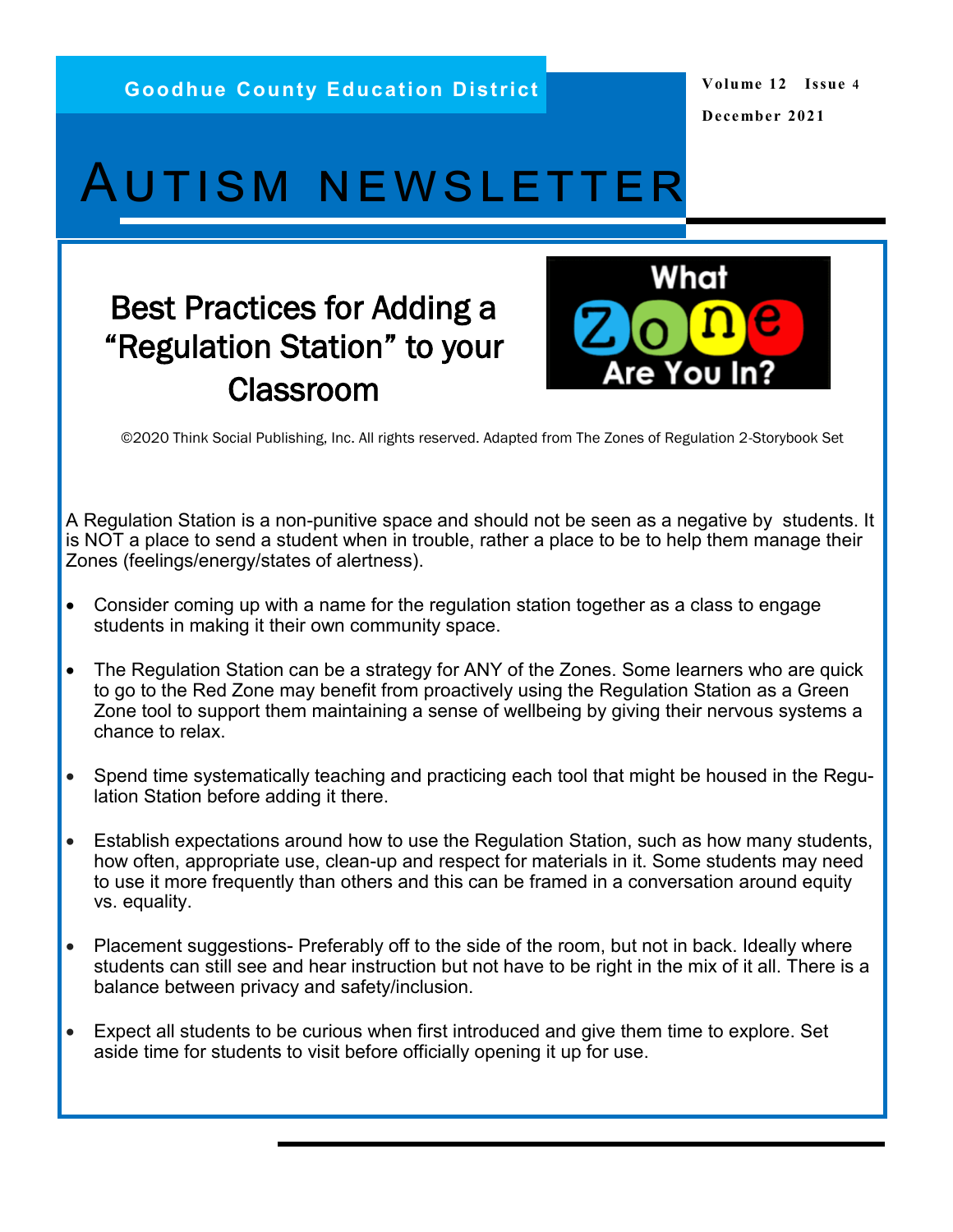**Goodhue County Education District**

**Volume 12 Issue 4 December 2021**

# Autism newsletter

## Best Practices for Adding a "Regulation Station" to your Classroom



©2020 Think Social Publishing, Inc. All rights reserved. Adapted from The Zones of Regulation 2-Storybook Set

A Regulation Station is a non-punitive space and should not be seen as a negative by students. It is NOT a place to send a student when in trouble, rather a place to be to help them manage their Zones (feelings/energy/states of alertness).

- Consider coming up with a name for the regulation station together as a class to engage students in making it their own community space.
- The Regulation Station can be a strategy for ANY of the Zones. Some learners who are quick to go to the Red Zone may benefit from proactively using the Regulation Station as a Green Zone tool to support them maintaining a sense of wellbeing by giving their nervous systems a chance to relax.
- Spend time systematically teaching and practicing each tool that might be housed in the Regulation Station before adding it there.
- Establish expectations around how to use the Regulation Station, such as how many students, how often, appropriate use, clean-up and respect for materials in it. Some students may need to use it more frequently than others and this can be framed in a conversation around equity vs. equality.
- Placement suggestions- Preferably off to the side of the room, but not in back. Ideally where students can still see and hear instruction but not have to be right in the mix of it all. There is a balance between privacy and safety/inclusion.
- Expect all students to be curious when first introduced and give them time to explore. Set aside time for students to visit before officially opening it up for use.